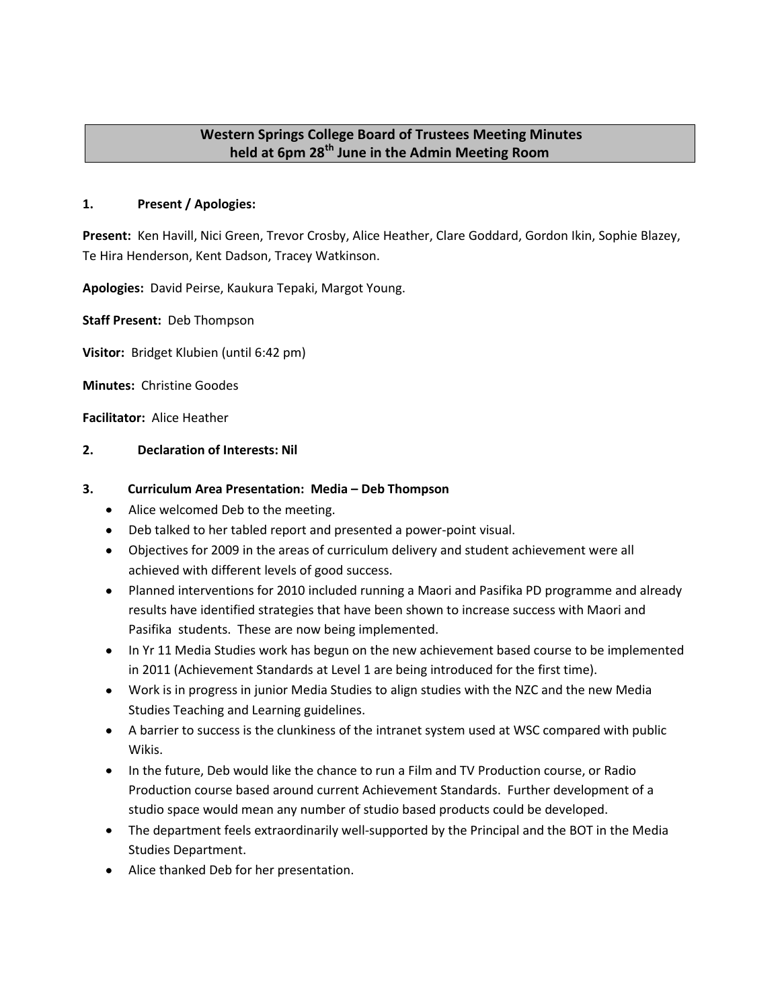# **Western Springs College Board of Trustees Meeting Minutes held at 6pm 28th June in the Admin Meeting Room**

# **1. Present / Apologies:**

**Present:** Ken Havill, Nici Green, Trevor Crosby, Alice Heather, Clare Goddard, Gordon Ikin, Sophie Blazey, Te Hira Henderson, Kent Dadson, Tracey Watkinson.

**Apologies:** David Peirse, Kaukura Tepaki, Margot Young.

**Staff Present:** Deb Thompson

**Visitor:** Bridget Klubien (until 6:42 pm)

**Minutes:** Christine Goodes

**Facilitator:** Alice Heather

### **2. Declaration of Interests: Nil**

### **3. Curriculum Area Presentation: Media – Deb Thompson**

- Alice welcomed Deb to the meeting.
- Deb talked to her tabled report and presented a power-point visual.
- Objectives for 2009 in the areas of curriculum delivery and student achievement were all achieved with different levels of good success.
- Planned interventions for 2010 included running a Maori and Pasifika PD programme and already results have identified strategies that have been shown to increase success with Maori and Pasifika students. These are now being implemented.
- In Yr 11 Media Studies work has begun on the new achievement based course to be implemented in 2011 (Achievement Standards at Level 1 are being introduced for the first time).
- Work is in progress in junior Media Studies to align studies with the NZC and the new Media Studies Teaching and Learning guidelines.
- A barrier to success is the clunkiness of the intranet system used at WSC compared with public Wikis.
- In the future, Deb would like the chance to run a Film and TV Production course, or Radio Production course based around current Achievement Standards. Further development of a studio space would mean any number of studio based products could be developed.
- The department feels extraordinarily well-supported by the Principal and the BOT in the Media Studies Department.
- Alice thanked Deb for her presentation.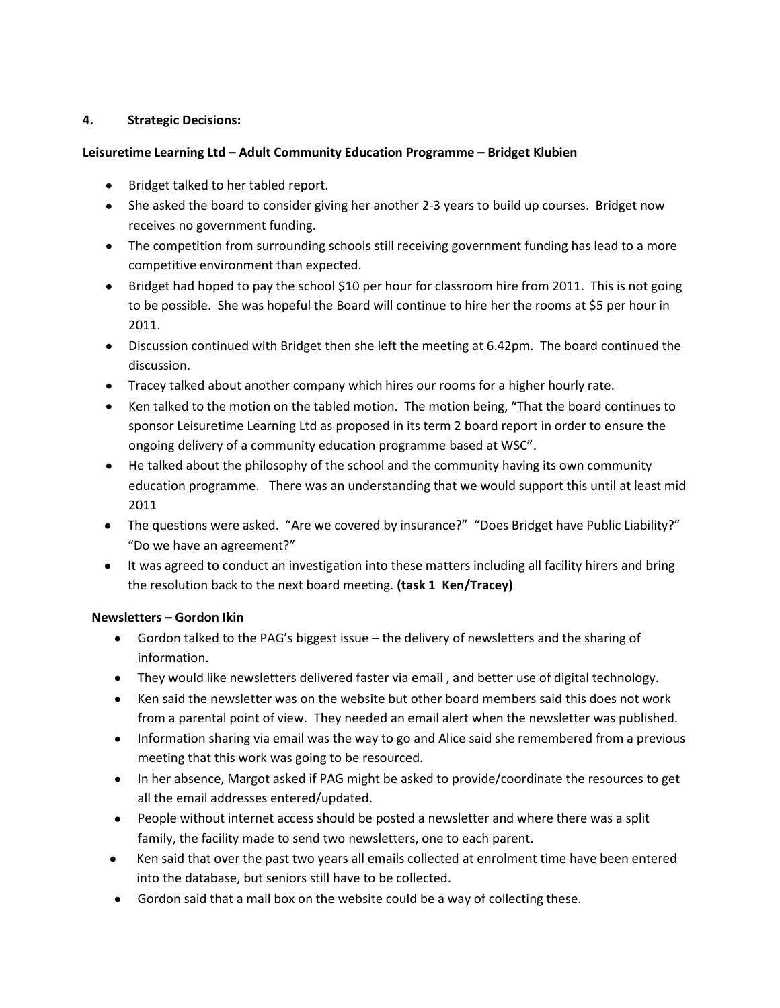# **4. Strategic Decisions:**

## **Leisuretime Learning Ltd – Adult Community Education Programme – Bridget Klubien**

- Bridget talked to her tabled report.
- She asked the board to consider giving her another 2-3 years to build up courses. Bridget now receives no government funding.
- The competition from surrounding schools still receiving government funding has lead to a more competitive environment than expected.
- Bridget had hoped to pay the school \$10 per hour for classroom hire from 2011. This is not going to be possible. She was hopeful the Board will continue to hire her the rooms at \$5 per hour in 2011.
- Discussion continued with Bridget then she left the meeting at 6.42pm. The board continued the discussion.
- Tracey talked about another company which hires our rooms for a higher hourly rate.
- Ken talked to the motion on the tabled motion. The motion being, "That the board continues to sponsor Leisuretime Learning Ltd as proposed in its term 2 board report in order to ensure the ongoing delivery of a community education programme based at WSC".
- He talked about the philosophy of the school and the community having its own community education programme. There was an understanding that we would support this until at least mid 2011
- The questions were asked. "Are we covered by insurance?" "Does Bridget have Public Liability?" "Do we have an agreement?"
- It was agreed to conduct an investigation into these matters including all facility hirers and bring the resolution back to the next board meeting. **(task 1 Ken/Tracey)**

# **Newsletters – Gordon Ikin**

- Gordon talked to the PAG's biggest issue the delivery of newsletters and the sharing of information.
- They would like newsletters delivered faster via email , and better use of digital technology.
- Ken said the newsletter was on the website but other board members said this does not work from a parental point of view. They needed an email alert when the newsletter was published.
- Information sharing via email was the way to go and Alice said she remembered from a previous meeting that this work was going to be resourced.
- In her absence, Margot asked if PAG might be asked to provide/coordinate the resources to get all the email addresses entered/updated.
- People without internet access should be posted a newsletter and where there was a split family, the facility made to send two newsletters, one to each parent.
- Ken said that over the past two years all emails collected at enrolment time have been entered into the database, but seniors still have to be collected.
- Gordon said that a mail box on the website could be a way of collecting these.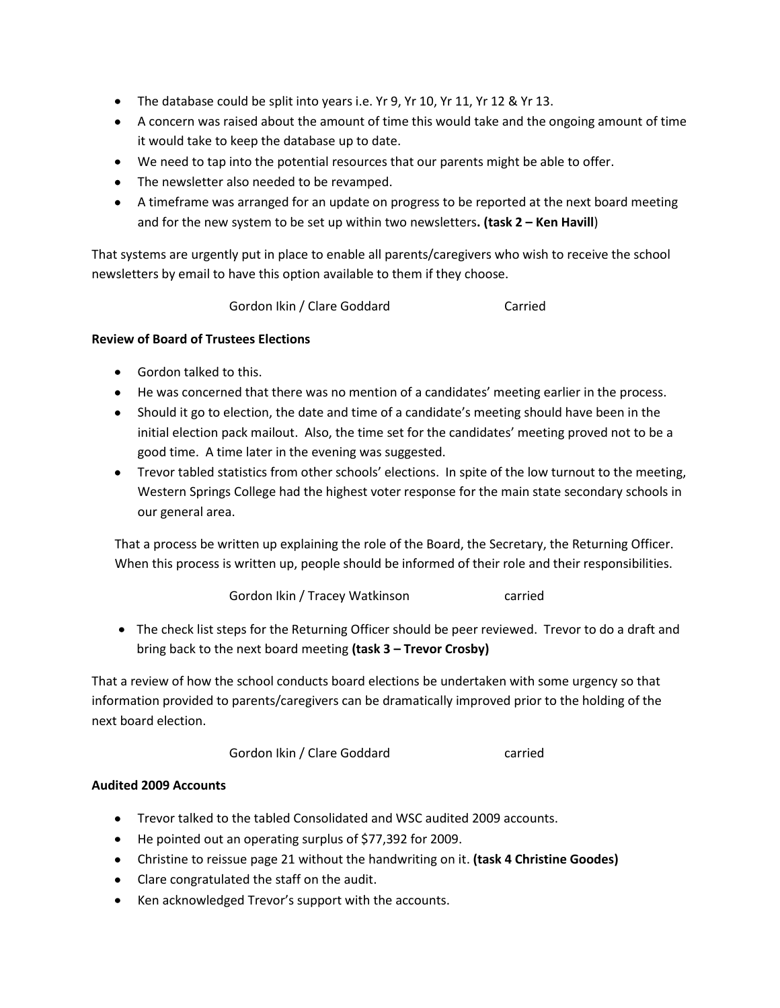- The database could be split into years i.e. Yr 9, Yr 10, Yr 11, Yr 12 & Yr 13.
- A concern was raised about the amount of time this would take and the ongoing amount of time it would take to keep the database up to date.
- We need to tap into the potential resources that our parents might be able to offer.
- The newsletter also needed to be revamped.
- A timeframe was arranged for an update on progress to be reported at the next board meeting and for the new system to be set up within two newsletters**. (task 2 – Ken Havill**)

That systems are urgently put in place to enable all parents/caregivers who wish to receive the school newsletters by email to have this option available to them if they choose.

Gordon Ikin / Clare Goddard Carried

## **Review of Board of Trustees Elections**

- Gordon talked to this.
- He was concerned that there was no mention of a candidates' meeting earlier in the process.
- Should it go to election, the date and time of a candidate's meeting should have been in the initial election pack mailout. Also, the time set for the candidates' meeting proved not to be a good time. A time later in the evening was suggested.
- Trevor tabled statistics from other schools' elections. In spite of the low turnout to the meeting, Western Springs College had the highest voter response for the main state secondary schools in our general area.

That a process be written up explaining the role of the Board, the Secretary, the Returning Officer. When this process is written up, people should be informed of their role and their responsibilities.

Gordon Ikin / Tracey Watkinson carried

• The check list steps for the Returning Officer should be peer reviewed. Trevor to do a draft and bring back to the next board meeting **(task 3 – Trevor Crosby)**

That a review of how the school conducts board elections be undertaken with some urgency so that information provided to parents/caregivers can be dramatically improved prior to the holding of the next board election.

Gordon Ikin / Clare Goddard Carried

### **Audited 2009 Accounts**

- Trevor talked to the tabled Consolidated and WSC audited 2009 accounts.
- He pointed out an operating surplus of \$77,392 for 2009.
- Christine to reissue page 21 without the handwriting on it. **(task 4 Christine Goodes)**
- Clare congratulated the staff on the audit.
- Ken acknowledged Trevor's support with the accounts.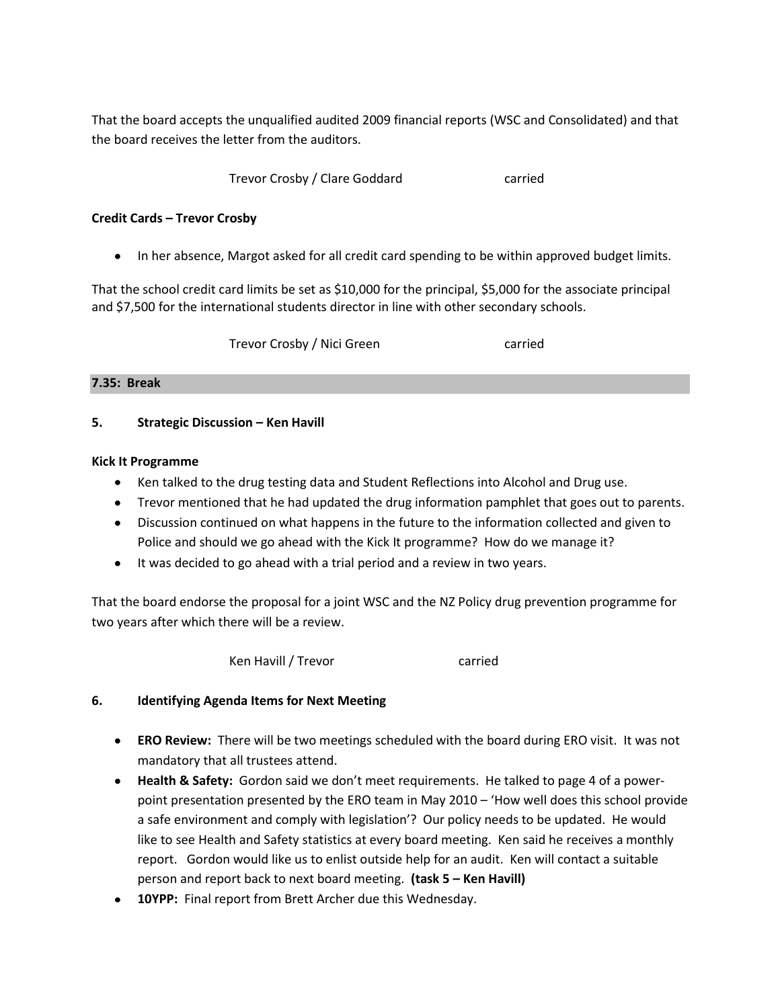That the board accepts the unqualified audited 2009 financial reports (WSC and Consolidated) and that the board receives the letter from the auditors.

Trevor Crosby / Clare Goddard carried

### **Credit Cards – Trevor Crosby**

• In her absence, Margot asked for all credit card spending to be within approved budget limits.

That the school credit card limits be set as \$10,000 for the principal, \$5,000 for the associate principal and \$7,500 for the international students director in line with other secondary schools.

Trevor Crosby / Nici Green carried

#### **7.35: Break**

### **5. Strategic Discussion – Ken Havill**

#### **Kick It Programme**

- Ken talked to the drug testing data and Student Reflections into Alcohol and Drug use.
- Trevor mentioned that he had updated the drug information pamphlet that goes out to parents.
- Discussion continued on what happens in the future to the information collected and given to Police and should we go ahead with the Kick It programme? How do we manage it?
- It was decided to go ahead with a trial period and a review in two years.

That the board endorse the proposal for a joint WSC and the NZ Policy drug prevention programme for two years after which there will be a review.

Ken Havill / Trevor **carried** 

### **6. Identifying Agenda Items for Next Meeting**

- **ERO Review:** There will be two meetings scheduled with the board during ERO visit. It was not mandatory that all trustees attend.
- **Health & Safety:** Gordon said we don't meet requirements. He talked to page 4 of a powerpoint presentation presented by the ERO team in May 2010 – 'How well does this school provide a safe environment and comply with legislation'? Our policy needs to be updated. He would like to see Health and Safety statistics at every board meeting. Ken said he receives a monthly report. Gordon would like us to enlist outside help for an audit. Ken will contact a suitable person and report back to next board meeting. **(task 5 – Ken Havill)**
- **10YPP:** Final report from Brett Archer due this Wednesday.